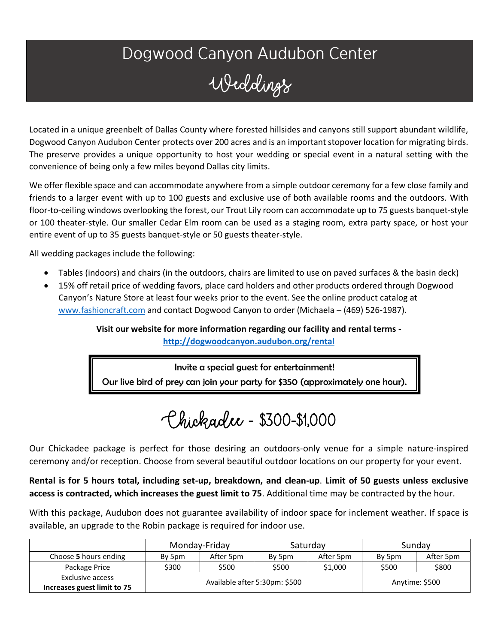## Dogwood Canyon Audubon Center Weddings

Located in a unique greenbelt of Dallas County where forested hillsides and canyons still support abundant wildlife, Dogwood Canyon Audubon Center protects over 200 acres and is an important stopover location for migrating birds. The preserve provides a unique opportunity to host your wedding or special event in a natural setting with the convenience of being only a few miles beyond Dallas city limits.

We offer flexible space and can accommodate anywhere from a simple outdoor ceremony for a few close family and friends to a larger event with up to 100 guests and exclusive use of both available rooms and the outdoors. With floor-to-ceiling windows overlooking the forest, our Trout Lily room can accommodate up to 75 guests banquet-style or 100 theater-style. Our smaller Cedar Elm room can be used as a staging room, extra party space, or host your entire event of up to 35 guests banquet-style or 50 guests theater-style.

All wedding packages include the following:

- Tables (indoors) and chairs (in the outdoors, chairs are limited to use on paved surfaces & the basin deck)
- 15% off retail price of wedding favors, place card holders and other products ordered through Dogwood Canyon's Nature Store at least four weeks prior to the event. See the online product catalog at [www.fashioncraft.com](http://www.fashioncraft.com/) and contact Dogwood Canyon to order (Michaela – (469) 526-1987).

**Visit our website for more information regarding our facility and rental terms <http://dogwoodcanyon.audubon.org/rental>**

Invite a special guest for entertainment! Our live bird of prey can join your party for \$350 (approximately one hour).

Chickadee - \$300-\$1,000

Our Chickadee package is perfect for those desiring an outdoors-only venue for a simple nature-inspired ceremony and/or reception. Choose from several beautiful outdoor locations on our property for your event.

**Rental is for 5 hours total, including set-up, breakdown, and clean-up**. **Limit of 50 guests unless exclusive access is contracted, which increases the guest limit to 75**. Additional time may be contracted by the hour.

With this package, Audubon does not guarantee availability of indoor space for inclement weather. If space is available, an upgrade to the Robin package is required for indoor use.

|                                                 | Monday-Friday                 |           | Saturday |                | Sunday |           |
|-------------------------------------------------|-------------------------------|-----------|----------|----------------|--------|-----------|
| Choose 5 hours ending                           | By 5pm                        | After 5pm | By 5pm   | After 5pm      | By 5pm | After 5pm |
| Package Price                                   | \$300                         | \$500     | \$500    | \$1,000        | \$500  | \$800     |
| Exclusive access<br>Increases guest limit to 75 | Available after 5:30pm: \$500 |           |          | Anytime: \$500 |        |           |